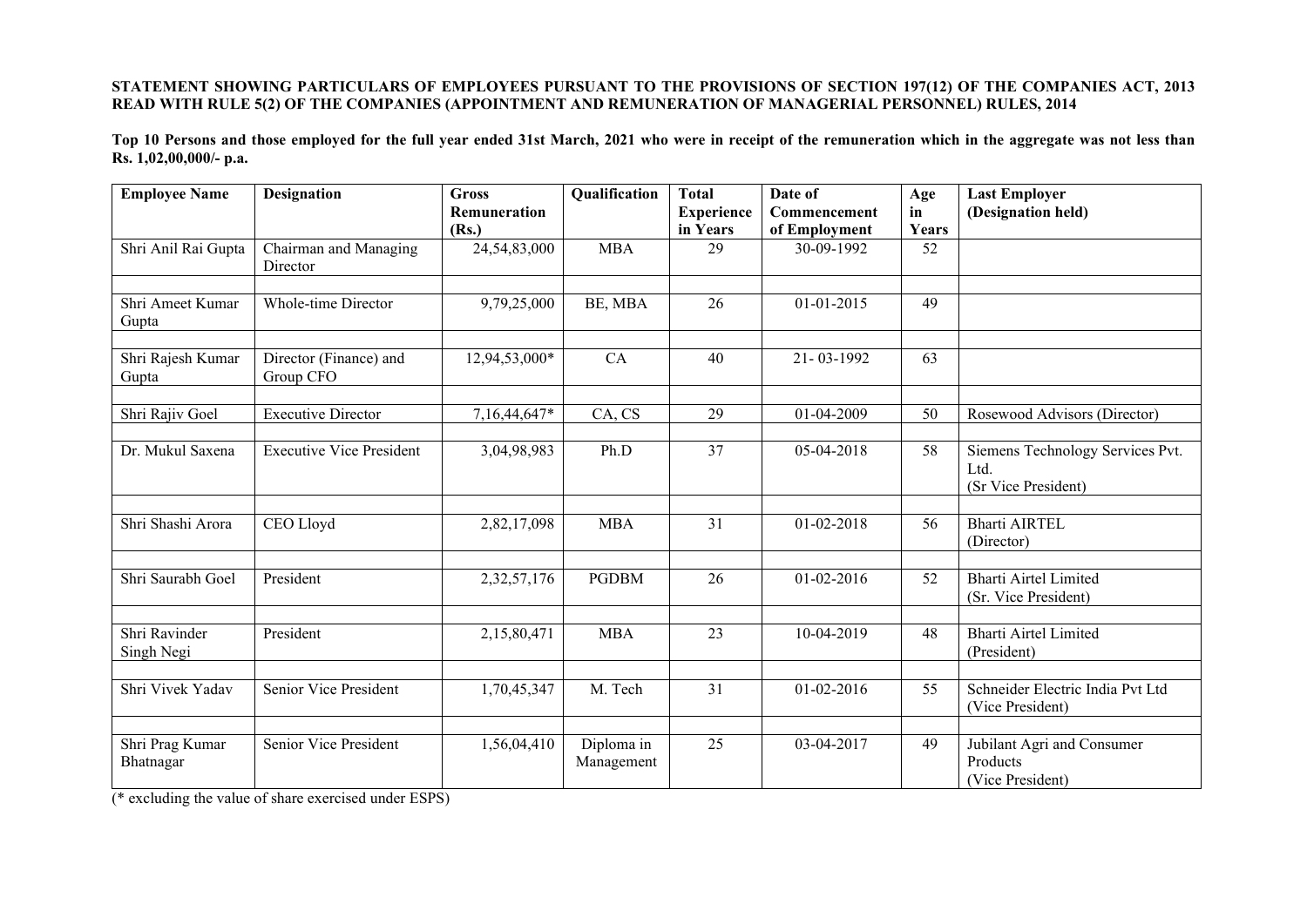## **STATEMENT SHOWING PARTICULARS OF EMPLOYEES PURSUANT TO THE PROVISIONS OF SECTION 197(12) OF THE COMPANIES ACT, 2013 READ WITH RULE 5(2) OF THE COMPANIES (APPOINTMENT AND REMUNERATION OF MANAGERIAL PERSONNEL) RULES, 2014**

**Top 10 Persons and those employed for the full year ended 31st March, 2021 who were in receipt of the remuneration which in the aggregate was not less than Rs. 1,02,00,000/- p.a.**

| <b>Employee Name</b>         | <b>Designation</b>                  | <b>Gross</b><br>Remuneration | Qualification            | <b>Total</b><br><b>Experience</b> | Date of<br>Commencement     | Age<br>in   | <b>Last Employer</b><br>(Designation held)                      |
|------------------------------|-------------------------------------|------------------------------|--------------------------|-----------------------------------|-----------------------------|-------------|-----------------------------------------------------------------|
| Shri Anil Rai Gupta          | Chairman and Managing<br>Director   | (Rs.)<br>24,54,83,000        | <b>MBA</b>               | in Years<br>29                    | of Employment<br>30-09-1992 | Years<br>52 |                                                                 |
| Shri Ameet Kumar<br>Gupta    | Whole-time Director                 | 9,79,25,000                  | BE, MBA                  | 26                                | $01 - 01 - 2015$            | 49          |                                                                 |
| Shri Rajesh Kumar<br>Gupta   | Director (Finance) and<br>Group CFO | 12,94,53,000*                | CA                       | 40                                | 21-03-1992                  | 63          |                                                                 |
| Shri Rajiv Goel              | <b>Executive Director</b>           | 7,16,44,647*                 | CA, CS                   | 29                                | 01-04-2009                  | 50          | Rosewood Advisors (Director)                                    |
| Dr. Mukul Saxena             | <b>Executive Vice President</b>     | 3,04,98,983                  | Ph.D                     | $\overline{37}$                   | $05-04-2018$                | 58          | Siemens Technology Services Pvt.<br>Ltd.<br>(Sr Vice President) |
| Shri Shashi Arora            | CEO Lloyd                           | 2,82,17,098                  | <b>MBA</b>               | 31                                | $01 - 02 - 2018$            | 56          | <b>Bharti AIRTEL</b><br>(Director)                              |
| Shri Saurabh Goel            | President                           | 2,32,57,176                  | <b>PGDBM</b>             | 26                                | $01 - 02 - 2016$            | 52          | <b>Bharti Airtel Limited</b><br>(Sr. Vice President)            |
| Shri Ravinder<br>Singh Negi  | President                           | 2,15,80,471                  | <b>MBA</b>               | 23                                | 10-04-2019                  | 48          | <b>Bharti Airtel Limited</b><br>(President)                     |
| Shri Vivek Yadav             | Senior Vice President               | 1,70,45,347                  | M. Tech                  | 31                                | $01 - 02 - 2016$            | 55          | Schneider Electric India Pvt Ltd<br>(Vice President)            |
| Shri Prag Kumar<br>Bhatnagar | Senior Vice President               | 1,56,04,410                  | Diploma in<br>Management | 25                                | 03-04-2017                  | 49          | Jubilant Agri and Consumer<br>Products<br>(Vice President)      |

(\* excluding the value of share exercised under ESPS)